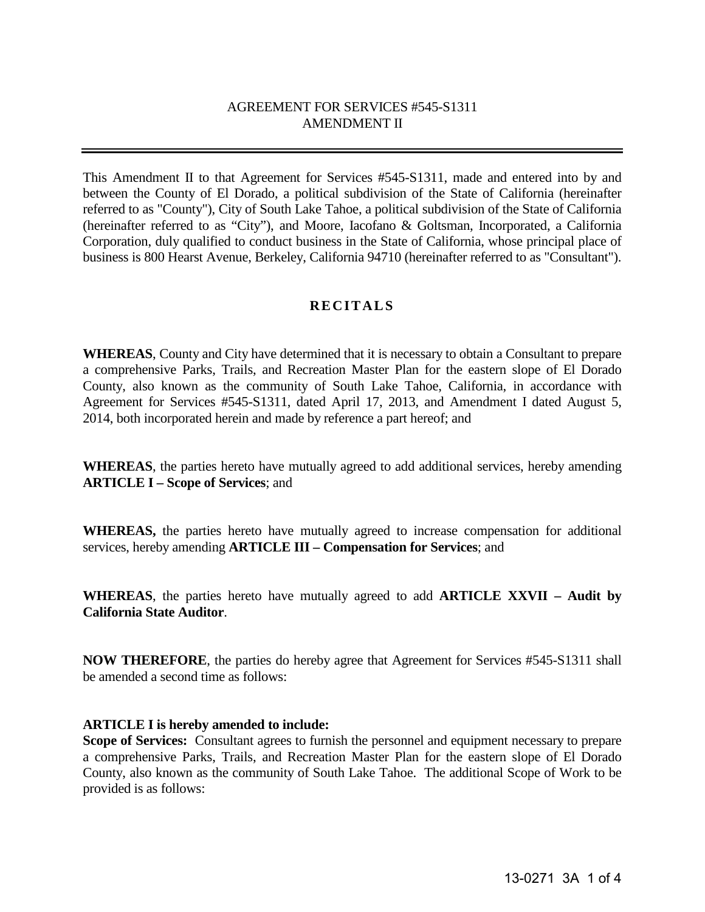# AGREEMENT FOR SERVICES #545-S1311 AMENDMENT II

This Amendment II to that Agreement for Services #545-S1311, made and entered into by and between the County of El Dorado, a political subdivision of the State of California (hereinafter referred to as "County"), City of South Lake Tahoe, a political subdivision of the State of California (hereinafter referred to as "City"), and Moore, Iacofano & Goltsman, Incorporated, a California Corporation, duly qualified to conduct business in the State of California, whose principal place of business is 800 Hearst Avenue, Berkeley, California 94710 (hereinafter referred to as "Consultant").

## **RECITALS**

**WHEREAS**, County and City have determined that it is necessary to obtain a Consultant to prepare a comprehensive Parks, Trails, and Recreation Master Plan for the eastern slope of El Dorado County, also known as the community of South Lake Tahoe, California, in accordance with Agreement for Services #545-S1311, dated April 17, 2013, and Amendment I dated August 5, 2014, both incorporated herein and made by reference a part hereof; and

**WHEREAS**, the parties hereto have mutually agreed to add additional services, hereby amending **ARTICLE I – Scope of Services**; and

**WHEREAS,** the parties hereto have mutually agreed to increase compensation for additional services, hereby amending **ARTICLE III – Compensation for Services**; and

**WHEREAS**, the parties hereto have mutually agreed to add **ARTICLE XXVII – Audit by California State Auditor**.

**NOW THEREFORE**, the parties do hereby agree that Agreement for Services #545-S1311 shall be amended a second time as follows:

### **ARTICLE I is hereby amended to include:**

**Scope of Services:** Consultant agrees to furnish the personnel and equipment necessary to prepare a comprehensive Parks, Trails, and Recreation Master Plan for the eastern slope of El Dorado County, also known as the community of South Lake Tahoe. The additional Scope of Work to be provided is as follows: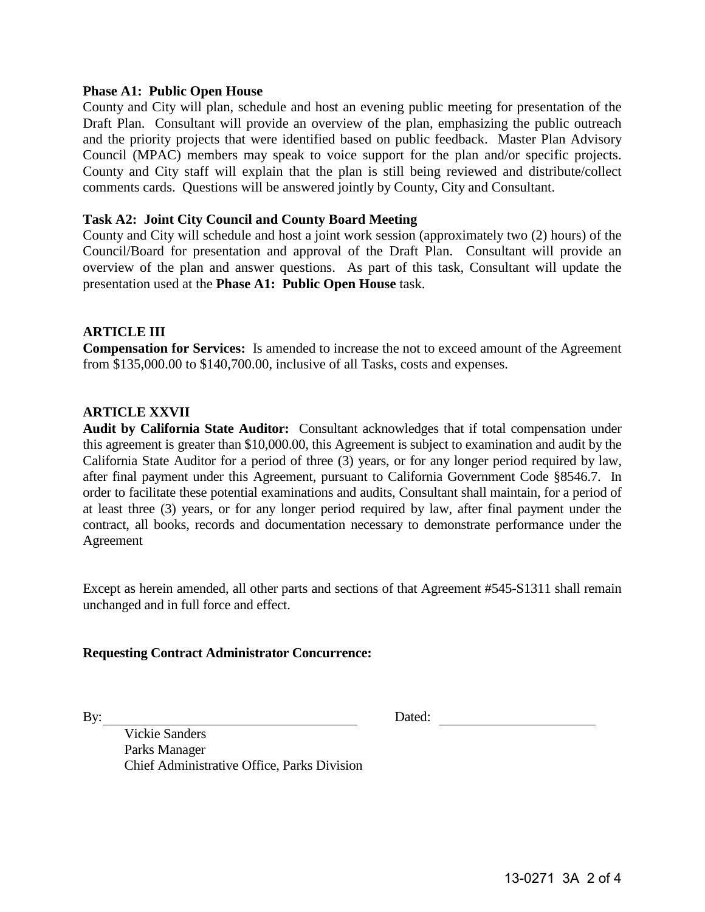#### **Phase A1: Public Open House**

County and City will plan, schedule and host an evening public meeting for presentation of the Draft Plan. Consultant will provide an overview of the plan, emphasizing the public outreach and the priority projects that were identified based on public feedback. Master Plan Advisory Council (MPAC) members may speak to voice support for the plan and/or specific projects. County and City staff will explain that the plan is still being reviewed and distribute/collect comments cards. Questions will be answered jointly by County, City and Consultant.

#### **Task A2: Joint City Council and County Board Meeting**

County and City will schedule and host a joint work session (approximately two (2) hours) of the Council/Board for presentation and approval of the Draft Plan. Consultant will provide an overview of the plan and answer questions. As part of this task, Consultant will update the presentation used at the **Phase A1: Public Open House** task.

#### **ARTICLE III**

**Compensation for Services:** Is amended to increase the not to exceed amount of the Agreement from \$135,000.00 to \$140,700.00, inclusive of all Tasks, costs and expenses.

#### **ARTICLE XXVII**

**Audit by California State Auditor:** Consultant acknowledges that if total compensation under this agreement is greater than \$10,000.00, this Agreement is subject to examination and audit by the California State Auditor for a period of three (3) years, or for any longer period required by law, after final payment under this Agreement, pursuant to California Government Code §8546.7. In order to facilitate these potential examinations and audits, Consultant shall maintain, for a period of at least three (3) years, or for any longer period required by law, after final payment under the contract, all books, records and documentation necessary to demonstrate performance under the Agreement

Except as herein amended, all other parts and sections of that Agreement #545-S1311 shall remain unchanged and in full force and effect.

#### **Requesting Contract Administrator Concurrence:**

By: Dated:

Vickie Sanders Parks Manager Chief Administrative Office, Parks Division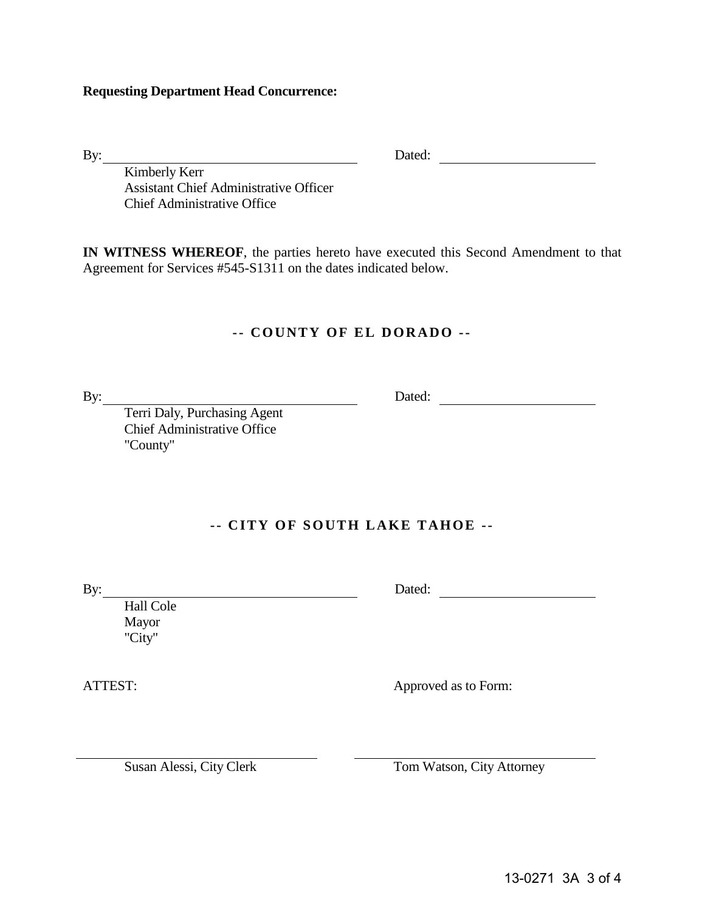#### **Requesting Department Head Concurrence:**

By: Dated:

Kimberly Kerr Assistant Chief Administrative Officer Chief Administrative Office

**IN WITNESS WHEREOF**, the parties hereto have executed this Second Amendment to that Agreement for Services #545-S1311 on the dates indicated below.

## **- - COUNTY OF EL DORADO - -**

By: Dated: Dated: Dated: Dated: 2014

Terri Daly, Purchasing Agent Chief Administrative Office "County"

# **- - CITY OF SOUTH LAKE TAHOE - -**

Hall Cole Mayor "City"

ATTEST: Approved as to Form:

By: Dated: Dated: Dated: Dated:

Susan Alessi, City Clerk Tom Watson, City Attorney